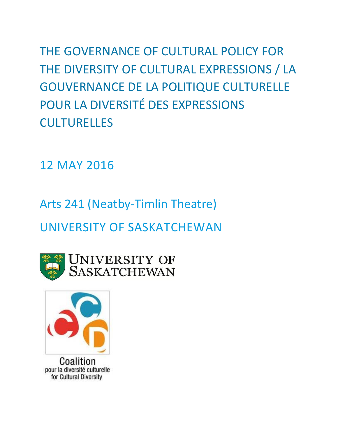THE GOVERNANCE OF CULTURAL POLICY FOR THE DIVERSITY OF CULTURAL EXPRESSIONS / LA GOUVERNANCE DE LA POLITIQUE CULTURELLE POUR LA DIVERSITÉ DES EXPRESSIONS CULTURELLES

12 MAY 2016

Arts 241 (Neatby-Timlin Theatre)

UNIVERSITY OF SASKATCHEWAN





Coalition pour la diversité culturelle for Cultural Diversity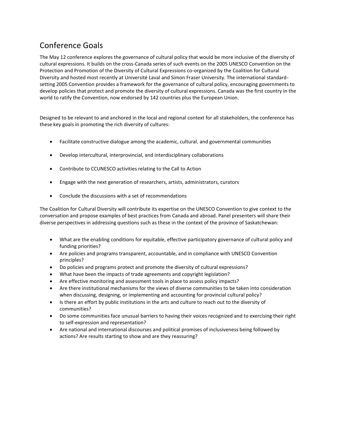# Conference Goals

The May 12 conference explores the governance of cultural policy that would be more inclusive of the diversity of cultural expressions. It builds on the cross-Canada series of such events on the 2005 UNESCO Convention on the Protection and Promotion of the Diversity of Cultural Expressions co-organized by the Coalition for Cultural Diversity and hosted most recently at Université Laval and Simon Fraser University. The international standardsetting 2005 Convention provides a framework for the governance of cultural policy, encouraging governments to develop policies that protect and promote the diversity of cultural expressions. Canada was the first country in the world to ratify the Convention, now endorsed by 142 countries plus the European Union.

Designed to be relevant to and anchored in the local and regional context for all stakeholders, the conference has these key goals in promoting the rich diversity of cultures:

- Facilitate constructive dialogue among the academic, cultural, and governmental communities
- Develop intercultural, interprovincial, and interdisciplinary collaborations
- Contribute to CCUNESCO activities relating to the Call to Action
- Engage with the next generation of researchers, artists, administrators, curators
- Conclude the discussions with a set of recommendations

The Coalition for Cultural Diversity will contribute its expertise on the UNESCO Convention to give context to the conversation and propose examples of best practices from Canada and abroad. Panel presenters will share their diverse perspectives in addressing questions such as these in the context of the province of Saskatchewan:

- What are the enabling conditions for equitable, effective participatory governance of cultural policy and funding priorities?
- Are policies and programs transparent, accountable, and in compliance with UNESCO Convention principles?
- Do policies and programs protect and promote the diversity of cultural expressions?
- What have been the impacts of trade agreements and copyright legislation?
- Are effective monitoring and assessment tools in place to assess policy impacts?
- Are there institutional mechanisms for the views of diverse communities to be taken into consideration when discussing, designing, or implementing and accounting for provincial cultural policy?
- Is there an effort by public institutions in the arts and culture to reach out to the diversity of communities?
- Do some communities face unusual barriers to having their voices recognized and to exercising their right to self-expression and representation?
- Are national and international discourses and political promises of inclusiveness being followed by actions? Are results starting to show and are they reassuring?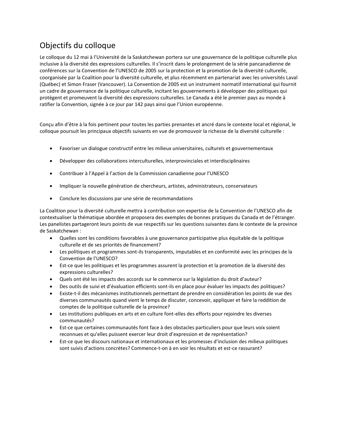# Objectifs du colloque

Le colloque du 12 mai à l'Université de la Saskatchewan portera sur une gouvernance de la politique culturelle plus inclusive à la diversité des expressions culturelles. Il s'inscrit dans le prolongement de la série pancanadienne de conférences sur la Convention de l'UNESCO de 2005 sur la protection et la promotion de la diversité culturelle, coorganisée par la Coalition pour la diversité culturelle, et plus récemment en partenariat avec les universités Laval (Québec) et Simon Fraser (Vancouver). La Convention de 2005 est un instrument normatif international qui fournit un cadre de gouvernance de la politique culturelle, incitant les gouvernements à développer des politiques qui protègent et promeuvent la diversité des expressions culturelles. Le Canada a été le premier pays au monde à ratifier la Convention, signée à ce jour par 142 pays ainsi que l'Union européenne.

Conçu afin d'être à la fois pertinent pour toutes les parties prenantes et ancré dans le contexte local et régional, le colloque poursuit les principaux objectifs suivants en vue de promouvoir la richesse de la diversité culturelle :

- Favoriser un dialogue constructif entre les milieux universitaires, culturels et gouvernementaux
- Développer des collaborations interculturelles, interprovinciales et interdisciplinaires
- Contribuer à l'Appel à l'action de la Commission canadienne pour l'UNESCO
- Impliquer la nouvelle génération de chercheurs, artistes, administrateurs, conservateurs
- Conclure les discussions par une série de recommandations

La Coalition pour la diversité culturelle mettra à contribution son expertise de la Convention de l'UNESCO afin de contextualiser la thématique abordée et proposera des exemples de bonnes pratiques du Canada et de l'étranger. Les panelistes partageront leurs points de vue respectifs sur les questions suivantes dans le contexte de la province de Saskatchewan :

- Quelles sont les conditions favorables à une gouvernance participative plus équitable de la politique culturelle et de ses priorités de financement?
- Les politiques et programmes sont-ils transparents, imputables et en conformité avec les principes de la Convention de l'UNESCO?
- Est-ce que les politiques et les programmes assurent la protection et la promotion de la diversité des expressions culturelles?
- Quels ont été les impacts des accords sur le commerce sur la législation du droit d'auteur?
- Des outils de suivi et d'évaluation efficients sont-ils en place pour évaluer les impacts des politiques?
- Existe-t-il des mécanismes institutionnels permettant de prendre en considération les points de vue des diverses communautés quand vient le temps de discuter, concevoir, appliquer et faire la reddition de comptes de la politique culturelle de la province?
- Les institutions publiques en arts et en culture font-elles des efforts pour rejoindre les diverses communautés?
- Est-ce que certaines communautés font face à des obstacles particuliers pour que leurs voix soient reconnues et qu'elles puissent exercer leur droit d'expression et de représentation?
- Est-ce que les discours nationaux et internationaux et les promesses d'inclusion des milieux politiques sont suivis d'actions concrètes? Commence-t-on à en voir les résultats et est-ce rassurant?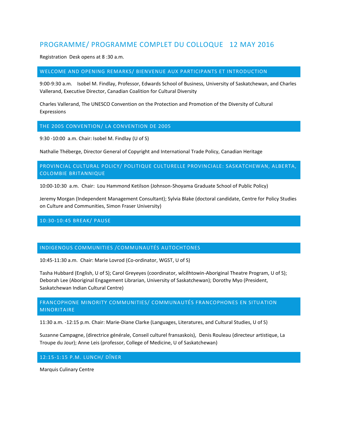## PROGRAMME/ PROGRAMME COMPLET DU COLLOQUE 12 MAY 2016

Registration Desk opens at 8 :30 a.m.

#### WELCOME AND OPENING REMARKS/ BIENVENUE AUX PARTICIPANTS ET INTRODUCTION

9:00-9:30 a.m. Isobel M. Findlay, Professor, Edwards School of Business, University of Saskatchewan, and Charles Vallerand, Executive Director, Canadian Coalition for Cultural Diversity

Charles Vallerand, The UNESCO Convention on the Protection and Promotion of the Diversity of Cultural Expressions

#### THE 2005 CONVENTION/ LA CONVENTION DE 2005

9:30 -10:00 a.m. Chair: Isobel M. Findlay (U of S)

Nathalie Théberge, Director General of Copyright and International Trade Policy, Canadian Heritage

### PROVINCIAL CULTURAL POLICY/ POLITIQUE CULTURELLE PROVINCIALE: SASKATCHEWAN, ALBERTA, COLOMBIE BRITANNIQUE

10:00-10:30 a.m. Chair: Lou Hammond Ketilson (Johnson-Shoyama Graduate School of Public Policy)

Jeremy Morgan (Independent Management Consultant); Sylvia Blake (doctoral candidate, Centre for Policy Studies on Culture and Communities, Simon Fraser University)

10:30-10:45 BREAK/ PAUSE

### INDIGENOUS COMMUNITIES /COMMUNAUTÉS AUTOCHTONES

10:45-11:30 a.m. Chair: Marie Lovrod (Co-ordinator, WGST, U of S)

Tasha Hubbard (English, U of S); Carol Greyeyes (coordinator, wîcêhtowin-Aboriginal Theatre Program, U of S); Deborah Lee (Aboriginal Engagement Librarian, University of Saskatchewan); Dorothy Myo (President, Saskatchewan Indian Cultural Centre)

### FRANCOPHONE MINORITY COMMUNITIES/ COMMUNAUTÉS FRANCOPHONES EN SITUATION MINORITAIRE

11:30 a.m. -12:15 p.m. Chair: Marie-Diane Clarke (Languages, Literatures, and Cultural Studies, U of S)

Suzanne Campagne, (directrice générale, Conseil culturel fransaskois), Denis Rouleau (directeur artistique, La Troupe du Jour); Anne Leis (professor, College of Medicine, U of Saskatchewan)

12:15-1:15 P.M. LUNCH/ DÎNER

Marquis Culinary Centre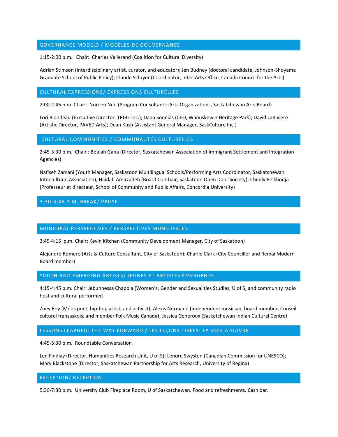#### GOVERNANCE MODELS / MODÈLES DE GOUVERNANCE

1:15-2:00 p.m. Chair: Charles Vallerand (Coalition for Cultural Diversity)

Adrian Stimson (Interdisciplinary artist, curator, and educator); Jen Budney (doctoral candidate, Johnson-Shoyama Graduate School of Public Policy); Claude Schryer (Coordinator, Inter-Arts Office, Canada Council for the Arts)

#### CULTURAL EXPRESSIONS/ EXPRESSIONS CULTURELLES

2:00-2:45 p.m. Chair: Noreen Neu (Program Consultant—Arts Organizations, Saskatchewan Arts Board)

Lori Blondeau (Executive Director, TRIBE Inc.); Dana Soonias (CEO, Wanuskewin Heritage Park); David LaRiviere (Artistic Director, PAVED Arts); Dean Kush (Assistant General Manager, SaskCulture Inc.)

#### CULTURAL COMMUNITIES / COMMUNAUTÉS CULTURELLES

2:45-3:30 p.m. Chair : Beulah Gana (Director, Saskatchewan Association of Immigrant Settlement and Integration Agencies)

Nafiseh Zamani (Youth Manager, Saskatoon Multilingual Schools/Performing Arts Coordinator, Saskatchewan Intercultural Association); Haidah Amirzadeh (Board Co-Chair, Saskatoon Open Door Society); Chedly Belkhodja (Professeur et directeur, School of Community and Public Affairs, Concordia University)

#### 3:30-3:45 P.M. BREAK/ PAUSE

#### MUNICIPAL PERSPECTIVES / PERSPECTIVES MUNICIPALES

3:45-4:15 p.m. Chair: Kevin Kitchen (Community Development Manager, City of Saskatoon)

Alejandro Romero (Arts & Culture Consultant, City of Saskatoon); Charlie Clark (City Councillor and Remai Modern Board member)

#### YOUTH AND EMERGING ARTISTS/ JEUNES ET ARTISTES ÉMERGENTS

4:15-4:45 p.m. Chair: Jebunnessa Chapola (Women's, Gender and Sexualities Studies, U of S, and community radio host and cultural performer)

Zoey Roy (Métis poet, hip-hop artist, and activist); Alexis Normand (Independent musician, board member, Conseil culturel fransaskois, and member Folk Music Canada); Jessica Generoux (Saskatchewan Indian Cultural Centre)

#### LESSONS LEARNED: THE WAY FORWARD / LES LEÇONS TIRÉES: LA VOIE À SUIVRE

4:45-5:30 p.m. Roundtable Conversation

Len Findlay (Director, Humanities Research Unit, U of S); Lenore Swystun (Canadian Commission for UNESCO); Mary Blackstone (Director, Saskatchewan Partnership for Arts Research, University of Regina)

#### RECEPTION/ RÉCEPTION

5:30-7:30 p.m. University Club Fireplace Room, U of Saskatchewan. Food and refreshments. Cash bar.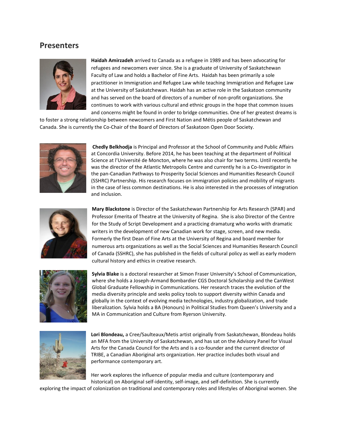## **Presenters**



**Haidah Amirzadeh** arrived to Canada as a refugee in 1989 and has been advocating for refugees and newcomers ever since. She is a graduate of University of Saskatchewan Faculty of Law and holds a Bachelor of Fine Arts. Haidah has been primarily a sole practitioner in Immigration and Refugee Law while teaching Immigration and Refugee Law at the University of Saskatchewan. Haidah has an active role in the Saskatoon community and has served on the board of directors of a number of non-profit organizations. She continues to work with various cultural and ethnic groups in the hope that common issues and concerns might be found in order to bridge communities. One of her greatest dreams is

to foster a strong relationship between newcomers and First Nation and Métis people of Saskatchewan and Canada. She is currently the Co-Chair of the Board of Directors of Saskatoon Open Door Society.



**Chedly Belkhodja** is Principal and Professor at the School of Community and Public Affairs at Concordia University. Before 2014, he has been teaching at the department of Political Science at l'Université de Moncton, where he was also chair for two terms. Until recently he was the director of the Atlantic Metropolis Centre and currently he is a Co-Investigator in the pan-Canadian Pathways to Prosperity Social Sciences and Humanities Research Council (SSHRC) Partnership. His research focuses on immigration policies and mobility of migrants in the case of less common destinations. He is also interested in the processes of integration and inclusion.



**Mary Blackstone** is Director of the Saskatchewan Partnership for Arts Research (SPAR) and Professor Emerita of Theatre at the University of Regina. She is also Director of the Centre for the Study of Script Development and a practicing dramaturg who works with dramatic writers in the development of new Canadian work for stage, screen, and new media. Formerly the first Dean of Fine Arts at the University of Regina and board member for numerous arts organizations as well as the Social Sciences and Humanities Research Council of Canada (SSHRC), she has published in the fields of cultural policy as well as early modern cultural history and ethics in creative research.



**Sylvia Blake** is a doctoral researcher at Simon Fraser University's School of Communication, where she holds a Joseph-Armand Bombardier CGS Doctoral Scholarship and the CanWest Global Graduate Fellowship in Communications. Her research traces the evolution of the media diversity principle and seeks policy tools to support diversity within Canada and globally in the context of evolving media technologies, industry globalization, and trade liberalization. Sylvia holds a BA (Honours) in Political Studies from Queen's University and a MA in Communication and Culture from Ryerson University.



**Lori Blondeau,** a Cree/Saulteaux/Metis artist originally from Saskatchewan, Blondeau holds an MFA from the University of Saskatchewan, and has sat on the Advisory Panel for Visual Arts for the Canada Council for the Arts and is a co-founder and the current director of TRIBE, a Canadian Aboriginal arts organization. Her practice includes both visual and performance contemporary art.

Her work explores the influence of popular media and culture (contemporary and historical) on Aboriginal self-identity, self-image, and self-definition. She is currently

exploring the impact of colonization on traditional and contemporary roles and lifestyles of Aboriginal women. She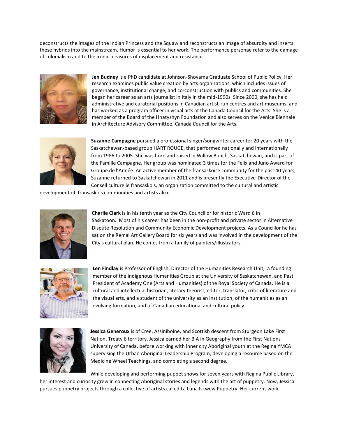deconstructs the images of the Indian Princess and the Squaw and reconstructs an image of absurdity and inserts these hybrids into the mainstream. Humor is essential to her work. The performance personae refer to the damage of colonialism and to the ironic pleasures of displacement and resistance.



**Jen Budney** is a PhD candidate at Johnson-Shoyama Graduate School of Public Policy. Her research examines public value creation by arts organizations, which includes issues of governance, institutional change, and co-construction with publics and communities. She began her career as an arts journalist in Italy in the mid-1990s. Since 2000, she has held administrative and curatorial positions in Canadian artist-run centres and art museums, and has worked as a program officer in visual arts at the Canada Council for the Arts. She is a member of the Board of the Hnatyshyn Foundation and also serves on the Venice Biennale in Architecture Advisory Committee, Canada Council for the Arts.



**Suzanne Campagne** pursued a professional singer/songwriter career for 20 years with the Saskatchewan-based group HART ROUGE, that performed nationally and internationally from 1986 to 2005. She was born and raised in Willow Bunch, Saskatchewan, and is part of the Famille Campagne. Her group was nominated 3 times for the Felix and Juno Award for Groupe de l'Année. An active member of the fransaskoise community for the past 40 years, Suzanne returned to Saskatchewan in 2011 and is presently the Executive-Director of the Conseil culturelle fransaskois, an organization committed to the cultural and artistic

development of fransaskois communities and artists alike.



**Charlie Clark** is in his tenth year as the City Councillor for historic Ward 6 in Saskatoon. Most of his career has been in the non-profit and private sector in Alternative Dispute Resolution and Community Economic Development projects. As a Councillor he has sat on the Remai Art Gallery Board for six years and was involved in the development of the City's cultural plan. He comes from a family of painters/illustrators.



**Len Findlay** is Professor of English, Director of the Humanities Research Unit, a founding member of the Indigenous Humanities Group at the University of Saskatchewan, and Past President of Academy One (Arts and Humanities) of the Royal Society of Canada. He is a cultural and intellectual historian, literary theorist, editor, translator, critic of literature and the visual arts, and a student of the university as an institution, of the humanities as an evolving formation, and of Canadian educational and cultural policy.



**Jessica Generoux** is of Cree, Assiniboine, and Scottish descent from Sturgeon Lake First Nation, Treaty 6 territory. Jessica earned her B A in Geography from the First Nations University of Canada, before working with inner city Aboriginal youth at the Regina YMCA supervising the Urban Aboriginal Leadership Program, developing a resource based on the Medicine Wheel Teachings, and completing a second degree.

While developing and performing puppet shows for seven years with Regina Public Library, her interest and curiosity grew in connecting Aboriginal stories and legends with the art of puppetry. Now, Jessica pursues puppetry projects through a collective of artists called La Luna Iskwew Puppetry. Her current work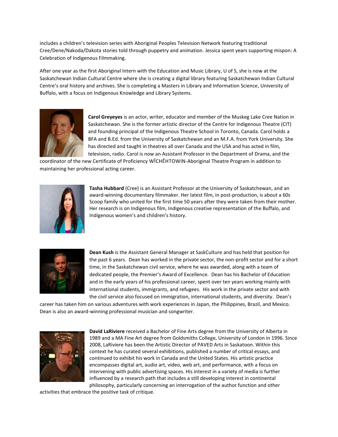includes a children's television series with Aboriginal Peoples Television Network featuring traditional Cree/Dene/Nakoda/Dakota stories told through puppetry and animation. Jessica spent years supporting mispon: A Celebration of Indigenous Filmmaking.

After one year as the first Aboriginal Intern with the Education and Music Library, U of S, she is now at the Saskatchewan Indian Cultural Centre where she is creating a digital library featuring Saskatchewan Indian Cultural Centre's oral history and archives. She is completing a Masters in Library and Information Science, University of Buffalo, with a focus on Indigenous Knowledge and Library Systems.



**Carol Greyeyes** is an actor, writer, educator and member of the Muskeg Lake Cree Nation in Saskatchewan. She is the former artistic director of the Centre for Indigenous Theatre (CIT) and founding principal of the Indigenous Theatre School in Toronto, Canada. Carol holds a BFA and B.Ed. from the University of Saskatchewan and an M.F.A. from York University. She has directed and taught in theatres all over Canada and the USA and has acted in film, television, radio. Carol is now an Assistant Professor in the Department of Drama, and the

coordinator of the new Certificate of Proficiency WÎCHÊHTOWIN-Aboriginal Theatre Program in addition to maintaining her professional acting career.



**Tasha Hubbard** (Cree) is an Assistant Professor at the University of Saskatchewan, and an award-winning documentary filmmaker. Her latest film, in post-production, is about a 60s Scoop family who united for the first time 50 years after they were taken from their mother. Her research is on Indigenous film, Indigenous creative representation of the Buffalo, and Indigenous women's and children's history.



**Dean Kush** is the Assistant General Manager at SaskCulture and has held that position for the past 6 years. Dean has worked in the private sector, the non-profit sector and for a short time, in the Saskatchewan civil service, where he was awarded, along with a team of dedicated people, the Premier's Award of Excellence. Dean has his Bachelor of Education and in the early years of his professional career, spent over ten years working mainly with international students, immigrants, and refugees. His work in the private sector and with the civil service also focused on immigration, international students, and diversity. Dean's

career has taken him on various adventures with work experiences in Japan, the Philippines, Brazil, and Mexico. Dean is also an award-winning professional musician and songwriter.



**David LaRiviere** received a Bachelor of Fine Arts degree from the University of Alberta in 1989 and a MA Fine Art degree from Goldsmiths College, University of London in 1996. Since 2008, LaRiviere has been the Artistic Director of PAVED Arts in Saskatoon. Within this context he has curated several exhibitions, published a number of critical essays, and continued to exhibit his work in Canada and the United States. His artistic practice encompasses digital art, audio art, video, web art, and performance, with a focus on intervening with public advertising spaces. His interest in a variety of media is further influenced by a research path that includes a still developing interest in continental philosophy, particularly concerning an interrogation of the author function and other

activities that embrace the positive task of critique.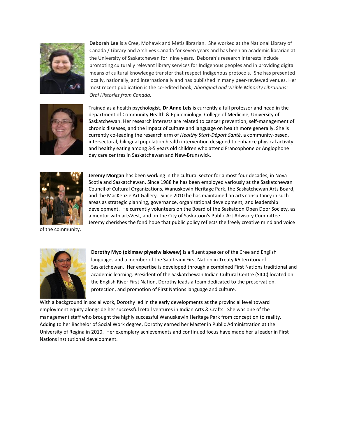

**Deborah Lee** is a Cree, Mohawk and Métis librarian. She worked at the National Library of Canada / Library and Archives Canada for seven years and has been an academic librarian at the University of Saskatchewan for nine years. Deborah's research interests include promoting culturally relevant library services for Indigenous peoples and in providing digital means of cultural knowledge transfer that respect Indigenous protocols. She has presented locally, nationally, and internationally and has published in many peer-reviewed venues. Her most recent publication is the co-edited book, *Aboriginal and Visible Minority Librarians: Oral Histories from Canada.*



Trained as a health psychologist, **Dr Anne Leis** is currently a full professor and head in the department of Community Health & Epidemiology, College of Medicine, University of Saskatchewan. Her research interests are related to cancer prevention, self-management of chronic diseases, and the impact of culture and language on health more generally. She is currently co-leading the research arm of *Healthy Start-Départ Santé*, a community-based, intersectoral, bilingual population health intervention designed to enhance physical activity and healthy eating among 3-5 years old children who attend Francophone or Anglophone day care centres in Saskatchewan and New-Brunswick.



of the community.

**Jeremy Morgan** has been working in the cultural sector for almost four decades, in Nova Scotia and Saskatchewan. Since 1988 he has been employed variously at the Saskatchewan Council of Cultural Organizations, Wanuskewin Heritage Park, the Saskatchewan Arts Board, and the MacKenzie Art Gallery. Since 2010 he has maintained an arts consultancy in such areas as strategic planning, governance, organizational development, and leadership development. He currently volunteers on the Board of the Saskatoon Open Door Society, as a mentor with artsVest, and on the City of Saskatoon's Public Art Advisory Committee. Jeremy cherishes the fond hope that public policy reflects the freely creative mind and voice



**Dorothy Myo (okimaw piyesiw iskwew)** is a fluent speaker of the Cree and English languages and a member of the Saulteaux First Nation in Treaty #6 territory of Saskatchewan. Her expertise is developed through a combined First Nations traditional and academic learning. President of the Saskatchewan Indian Cultural Centre (SICC) located on the English River First Nation, Dorothy leads a team dedicated to the preservation, protection, and promotion of First Nations language and culture.

With a background in social work, Dorothy led in the early developments at the provincial level toward employment equity alongside her successful retail ventures in Indian Arts & Crafts. She was one of the management staff who brought the highly successful Wanuskewin Heritage Park from conception to reality. Adding to her Bachelor of Social Work degree, Dorothy earned her Master in Public Administration at the University of Regina in 2010. Her exemplary achievements and continued focus have made her a leader in First Nations institutional development.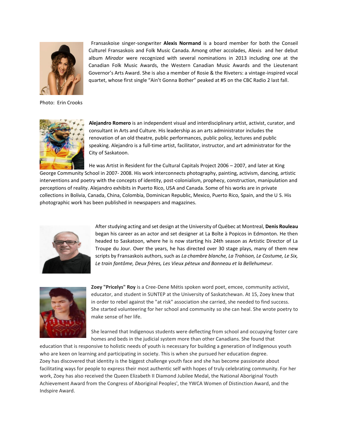

Photo: Erin Crooks



 Fransaskoise singer-songwriter **Alexis Normand** is a board member for both the Conseil Culturel Fransaskois and Folk Music Canada. Among other accolades, Alexis and her debut album *Mirador* were recognized with several nominations in 2013 including one at the Canadian Folk Music Awards, the Western Canadian Music Awards and the Lieutenant Governor's Arts Award. She is also a member of Rosie & the Riveters: a vintage-inspired vocal quartet, whose first single "Ain't Gonna Bother" peaked at #5 on the CBC Radio 2 last fall.

**Alejandro Romero** is an independent visual and interdisciplinary artist, activist, curator, and consultant in Arts and Culture. His leadership as an arts administrator includes the renovation of an old theatre, public performances, public policy, lectures and public speaking. Alejandro is a full-time artist, facilitator, instructor, and art administrator for the City of Saskatoon.

He was Artist in Resident for the Cultural Capitals Project 2006 – 2007, and later at King

George Community School in 2007- 2008. His work interconnects photography, painting, activism, dancing, artistic interventions and poetry with the concepts of identity, post-colonialism, prophecy, construction, manipulation and perceptions of reality. Alejandro exhibits in Puerto Rico, USA and Canada. Some of his works are in private collections in Bolivia, Canada, China, Colombia, Dominican Republic, Mexico, Puerto Rico, Spain, and the U S. His photographic work has been published in newspapers and magazines.



After studying acting and set design at the University of Québec at Montreal, **Denis Rouleau** began his career as an actor and set designer at La Boîte à Popicos in Edmonton. He then headed to Saskatoon, where he is now starting his 24th season as Artistic Director of La Troupe du Jour. Over the years, he has directed over 30 stage plays, many of them new scripts by Fransaskois authors, such as *La chambre blanche, La Trahison, Le Costume, Le Six, Le train fantôme, Deux frères, Les Vieux péteux and Bonneau et la Bellehumeur.*



**Zoey "Pricelys" Roy** is a Cree-Dene Métis spoken word poet, emcee, community activist, educator, and student in SUNTEP at the University of Saskatchewan. At 15, Zoey knew that in order to rebel against the "at risk" association she carried, she needed to find success. She started volunteering for her school and community so she can heal. She wrote poetry to make sense of her life.

She learned that Indigenous students were deflecting from school and occupying foster care homes and beds in the judicial system more than other Canadians. She found that

education that is responsive to holistic needs of youth is necessary for building a generation of Indigenous youth who are keen on learning and participating in society. This is when she pursued her education degree. Zoey has discovered that identity is the biggest challenge youth face and she has become passionate about facilitating ways for people to express their most authentic self with hopes of truly celebrating community. For her work, Zoey has also received the Queen Elizabeth II Diamond Jubilee Medal, the National Aboriginal Youth Achievement Award from the Congress of Aboriginal Peoples', the YWCA Women of Distinction Award, and the Indspire Award.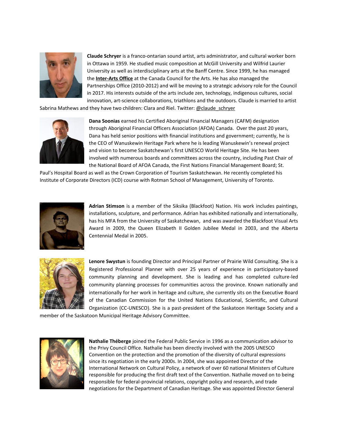

**Claude Schryer** is a franco-ontarian sound artist, arts administrator, and cultural worker born in Ottawa in 1959. He studied music composition at McGill University and Wilfrid Laurier University as well as interdisciplinary arts at the Banff Centre. Since 1999, he has managed the **[Inter-Arts Office](http://canadacouncil.ca/inter-arts-office)** at the Canada Council for the Arts. He has also managed the Partnerships Office (2010-2012) and will be moving to a strategic advisory role for the Council in 2017. His interests outside of the arts include zen, technology, indigenous cultures, social innovation, art-science collaborations, triathlons and the outdoors. Claude is married to artist

Sabrina Mathews and they have two children: Clara and Riel. Twitter[: @claude\\_schryer](https://twitter.com/claude_schryer)



**Dana Soonias** earned his Certified Aboriginal Financial Managers (CAFM) designation through Aboriginal Financial Officers Association (AFOA) Canada. Over the past 20 years, Dana has held senior positions with financial institutions and government; currently, he is the CEO of Wanuskewin Heritage Park where he is leading Wanuskewin's renewal project and vision to become Saskatchewan's first UNESCO World Heritage Site. He has been involved with numerous boards and committees across the country, including Past Chair of the National Board of AFOA Canada, the First Nations Financial Management Board; St.

Paul's Hospital Board as well as the Crown Corporation of Tourism Saskatchewan. He recently completed his Institute of Corporate Directors (ICD) course with Rotman School of Management, University of Toronto.



**Adrian Stimson** is a member of the Siksika (Blackfoot) Nation. His work includes paintings, installations, sculpture, and performance. Adrian has exhibited nationally and internationally, has his MFA from the University of Saskatchewan, and was awarded the Blackfoot Visual Arts Award in 2009, the Queen Elizabeth II Golden Jubilee Medal in 2003, and the Alberta Centennial Medal in 2005.



**Lenore Swystun** is founding Director and Principal Partner of Prairie Wild Consulting. She is a Registered Professional Planner with over 25 years of experience in participatory-based community planning and development. She is leading and has completed culture-led community planning processes for communities across the province. Known nationally and internationally for her work in heritage and culture, she currently sits on the Executive Board of the Canadian Commission for the United Nations Educational, Scientific, and Cultural Organization (CC-UNESCO). She is a past-president of the Saskatoon Heritage Society and a

member of the Saskatoon Municipal Heritage Advisory Committee.



**Nathalie Théberge** joined the Federal Public Service in 1996 as a communication advisor to the Privy Council Office. Nathalie has been directly involved with the 2005 UNESCO Convention on the protection and the promotion of the diversity of cultural expressions since its negotiation in the early 2000s. In 2004, she was appointed Director of the International Network on Cultural Policy, a network of over 60 national Ministers of Culture responsible for producing the first draft text of the Convention. Nathalie moved on to being responsible for federal-provincial relations, copyright policy and research, and trade negotiations for the Department of Canadian Heritage. She was appointed Director General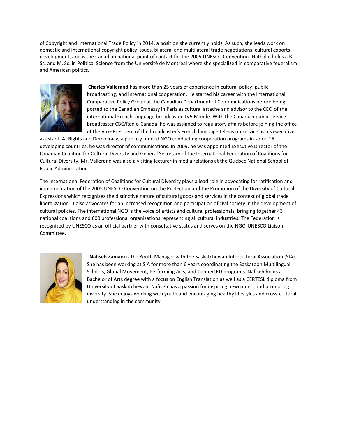of Copyright and International Trade Policy in 2014, a position she currently holds. As such, she leads work on domestic and international copyright policy issues, bilateral and multilateral trade negotiations, cultural exports development, and is the Canadian national point of contact for the 2005 UNESCO Convention. Nathalie holds a B. Sc. and M. Sc. in Political Science from the Université de Montréal where she specialized in comparative federalism and American politics.



**Charles Vallerand** has more than 25 years of experience in cultural policy, public broadcasting, and international cooperation. He started his career with the International Comparative Policy Group at the Canadian Department of Communications before being posted to the Canadian Embassy in Paris as cultural attaché and advisor to the CEO of the international French-language broadcaster TV5 Monde. With the Canadian public service broadcaster CBC/Radio-Canada, he was assigned to regulatory affairs before joining the office of the Vice-President of the broadcaster's French language television service as his executive

assistant. At Rights and Democracy, a publicly funded NGO conducting cooperation programs in some 15 developing countries, he was director of communications. In 2009, he was appointed Executive Director of the Canadian Coalition for Cultural Diversity and General Secretary of the International Federation of Coalitions for Cultural Diversity. Mr. Vallerand was also a visiting lecturer in media relations at the Quebec National School of Public Administration.

The International Federation of Coalitions for Cultural Diversity plays a lead role in advocating for ratification and implementation of the 2005 UNESCO Convention on the Protection and the Promotion of the Diversity of Cultural Expressions which recognizes the distinctive nature of cultural goods and services in the context of global trade liberalization. It also advocates for an increased recognition and participation of civil society in the development of cultural policies. The international NGO is the voice of artists and cultural professionals, bringing together 43 national coalitions and 600 professional organizations representing all cultural industries. The Federation is recognized by UNESCO as an official partner with consultative status and serves on the NGO-UNESCO Liaison Committee.



 **Nafiseh Zamani** is the Youth Manager with the Saskatchewan Intercultural Association (SIA). She has been working at SIA for more than 6 years coordinating the Saskatoon Multilingual Schools, Global Movement, Performing Arts, and ConnectED programs. Nafiseh holds a Bachelor of Arts degree with a focus on English Translation as well as a CERTESL diploma from University of Saskatchewan. Nafiseh has a passion for inspiring newcomers and promoting diversity. She enjoys working with youth and encouraging healthy lifestyles and cross-cultural understanding in the community.